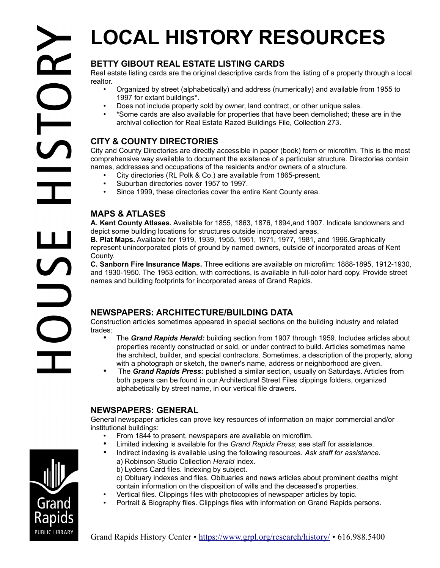# **LOCAL HISTORY RESOURCES**

# **BETTY GIBOUT REAL ESTATE LISTING CARDS**

Real estate listing cards are the original descriptive cards from the listing of a property through a local realtor.

- Organized by street (alphabetically) and address (numerically) and available from 1955 to 1997 for extant buildings\*.
- Does not include property sold by owner, land contract, or other unique sales.
- \*Some cards are also available for properties that have been demolished; these are in the archival collection for Real Estate Razed Buildings File, Collection 273.

# **CITY & COUNTY DIRECTORIES**

City and County Directories are directly accessible in paper (book) form or microfilm. This is the most comprehensive way available to document the existence of a particular structure. Directories contain names, addresses and occupations of the residents and/or owners of a structure.

- City directories (RL Polk & Co.) are available from 1865-present.
- Suburban directories cover 1957 to 1997.<br>• Since 1999, these directories cover the en
- Since 1999, these directories cover the entire Kent County area.

## **MAPS & ATLASES**

**A. Kent County Atlases.** Available for 1855, 1863, 1876, 1894,and 1907. Indicate landowners and depict some building locations for structures outside incorporated areas.

**B. Plat Maps.** Available for 1919, 1939, 1955, 1961, 1971, 1977, 1981, and 1996.Graphically represent unincorporated plots of ground by named owners, outside of incorporated areas of Kent County.

**C. Sanborn Fire Insurance Maps.** Three editions are available on microfilm: 1888-1895, 1912-1930, and 1930-1950. The 1953 edition, with corrections, is available in full-color hard copy. Provide street names and building footprints for incorporated areas of Grand Rapids.

## **NEWSPAPERS: ARCHITECTURE/BUILDING DATA**

Construction articles sometimes appeared in special sections on the building industry and related trades:

- The *Grand Rapids Herald:* building section from 1907 through 1959. Includes articles about properties recently constructed or sold, or under contract to build. Articles sometimes name the architect, builder, and special contractors. Sometimes, a description of the property, along with a photograph or sketch, the owner's name, address or neighborhood are given.
- The *Grand Rapids Press:* published a similar section, usually on Saturdays. Articles from both papers can be found in our Architectural Street Files clippings folders, organized alphabetically by street name, in our vertical file drawers.

## **NEWSPAPERS: GENERAL**

General newspaper articles can prove key resources of information on major commercial and/or institutional buildings:

- From 1844 to present, newspapers are available on microfilm.
- Limited indexing is available for the *Grand Rapids Press*; see staff for assistance.
- Indirect indexing is available using the following resources. *Ask staff for assistance*.
	- a) Robinson Studio Collection *Herald* index.
	- b) Lydens Card files. Indexing by subject.
	- c) Obituary indexes and files. Obituaries and news articles about prominent deaths might contain information on the disposition of wills and the deceased's properties.
	- Vertical files. Clippings files with photocopies of newspaper articles by topic.
- Portrait & Biography files. Clippings files with information on Grand Rapids persons.